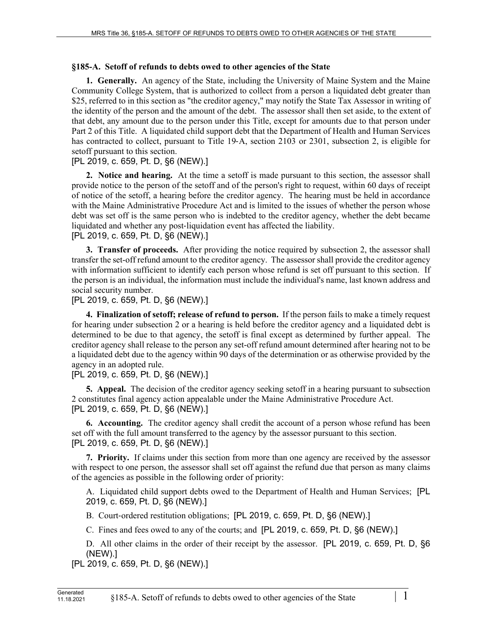## **§185-A. Setoff of refunds to debts owed to other agencies of the State**

**1. Generally.** An agency of the State, including the University of Maine System and the Maine Community College System, that is authorized to collect from a person a liquidated debt greater than \$25, referred to in this section as "the creditor agency," may notify the State Tax Assessor in writing of the identity of the person and the amount of the debt. The assessor shall then set aside, to the extent of that debt, any amount due to the person under this Title, except for amounts due to that person under Part 2 of this Title. A liquidated child support debt that the Department of Health and Human Services has contracted to collect, pursuant to Title 19–A, section 2103 or 2301, subsection 2, is eligible for setoff pursuant to this section.

## [PL 2019, c. 659, Pt. D, §6 (NEW).]

**2. Notice and hearing.** At the time a setoff is made pursuant to this section, the assessor shall provide notice to the person of the setoff and of the person's right to request, within 60 days of receipt of notice of the setoff, a hearing before the creditor agency. The hearing must be held in accordance with the Maine Administrative Procedure Act and is limited to the issues of whether the person whose debt was set off is the same person who is indebted to the creditor agency, whether the debt became liquidated and whether any post‑liquidation event has affected the liability. [PL 2019, c. 659, Pt. D, §6 (NEW).]

**3. Transfer of proceeds.** After providing the notice required by subsection 2, the assessor shall transfer the set-off refund amount to the creditor agency. The assessor shall provide the creditor agency with information sufficient to identify each person whose refund is set off pursuant to this section. If the person is an individual, the information must include the individual's name, last known address and social security number.

[PL 2019, c. 659, Pt. D, §6 (NEW).]

**4. Finalization of setoff; release of refund to person.** If the person fails to make a timely request for hearing under subsection 2 or a hearing is held before the creditor agency and a liquidated debt is determined to be due to that agency, the setoff is final except as determined by further appeal. The creditor agency shall release to the person any set-off refund amount determined after hearing not to be a liquidated debt due to the agency within 90 days of the determination or as otherwise provided by the agency in an adopted rule.

[PL 2019, c. 659, Pt. D, §6 (NEW).]

**5. Appeal.** The decision of the creditor agency seeking setoff in a hearing pursuant to subsection 2 constitutes final agency action appealable under the Maine Administrative Procedure Act. [PL 2019, c. 659, Pt. D, §6 (NEW).]

**6. Accounting.** The creditor agency shall credit the account of a person whose refund has been set off with the full amount transferred to the agency by the assessor pursuant to this section. [PL 2019, c. 659, Pt. D, §6 (NEW).]

**7. Priority.** If claims under this section from more than one agency are received by the assessor with respect to one person, the assessor shall set off against the refund due that person as many claims of the agencies as possible in the following order of priority:

A. Liquidated child support debts owed to the Department of Health and Human Services; [PL 2019, c. 659, Pt. D, §6 (NEW).]

B. Court-ordered restitution obligations; [PL 2019, c. 659, Pt. D, §6 (NEW).]

C. Fines and fees owed to any of the courts; and [PL 2019, c. 659, Pt. D, §6 (NEW).]

D. All other claims in the order of their receipt by the assessor. [PL 2019, c. 659, Pt. D, §6 (NEW).]

[PL 2019, c. 659, Pt. D, §6 (NEW).]